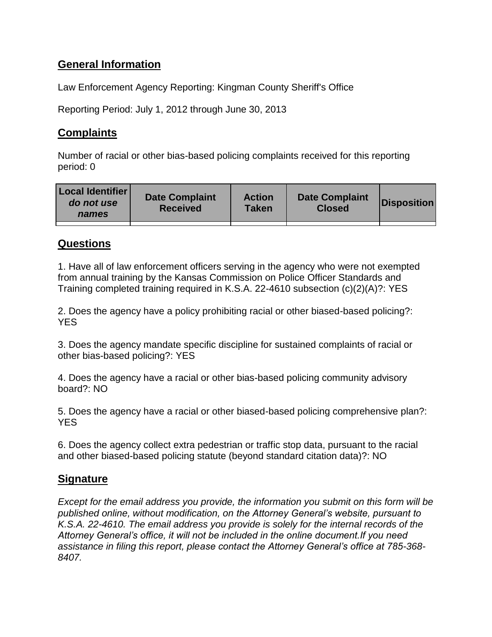# **General Information**

Law Enforcement Agency Reporting: Kingman County Sheriff's Office

Reporting Period: July 1, 2012 through June 30, 2013

## **Complaints**

Number of racial or other bias-based policing complaints received for this reporting period: 0

| <b>Local Identifier</b><br>do not use<br>names | <b>Date Complaint</b><br><b>Received</b> | <b>Action</b><br>Taken | <b>Date Complaint</b><br><b>Closed</b> | Disposition |
|------------------------------------------------|------------------------------------------|------------------------|----------------------------------------|-------------|
|                                                |                                          |                        |                                        |             |

## **Questions**

1. Have all of law enforcement officers serving in the agency who were not exempted from annual training by the Kansas Commission on Police Officer Standards and Training completed training required in K.S.A. 22-4610 subsection (c)(2)(A)?: YES

2. Does the agency have a policy prohibiting racial or other biased-based policing?: **YES** 

3. Does the agency mandate specific discipline for sustained complaints of racial or other bias-based policing?: YES

4. Does the agency have a racial or other bias-based policing community advisory board?: NO

5. Does the agency have a racial or other biased-based policing comprehensive plan?: YES

6. Does the agency collect extra pedestrian or traffic stop data, pursuant to the racial and other biased-based policing statute (beyond standard citation data)?: NO

## **Signature**

*Except for the email address you provide, the information you submit on this form will be published online, without modification, on the Attorney General's website, pursuant to K.S.A. 22-4610. The email address you provide is solely for the internal records of the Attorney General's office, it will not be included in the online document.If you need assistance in filing this report, please contact the Attorney General's office at 785-368- 8407.*